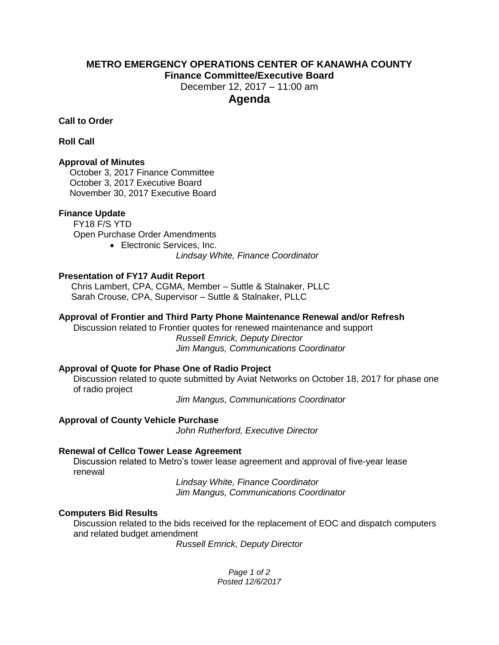### **METRO EMERGENCY OPERATIONS CENTER OF KANAWHA COUNTY Finance Committee/Executive Board**

December 12, 2017 – 11:00 am

# **Agenda**

**Call to Order**

**Roll Call**

### **Approval of Minutes**

October 3, 2017 Finance Committee October 3, 2017 Executive Board November 30, 2017 Executive Board

### **Finance Update**

FY18 F/S YTD Open Purchase Order Amendments

 Electronic Services, Inc. *Lindsay White, Finance Coordinator*

### **Presentation of FY17 Audit Report**

 Chris Lambert, CPA, CGMA, Member – Suttle & Stalnaker, PLLC Sarah Crouse, CPA, Supervisor – Suttle & Stalnaker, PLLC

### **Approval of Frontier and Third Party Phone Maintenance Renewal and/or Refresh**

Discussion related to Frontier quotes for renewed maintenance and support *Russell Emrick, Deputy Director Jim Mangus, Communications Coordinator*

### **Approval of Quote for Phase One of Radio Project**

Discussion related to quote submitted by Aviat Networks on October 18, 2017 for phase one of radio project

*Jim Mangus, Communications Coordinator*

# **Approval of County Vehicle Purchase**

*John Rutherford, Executive Director*

# **Renewal of Cellco Tower Lease Agreement**

Discussion related to Metro's tower lease agreement and approval of five-year lease renewal

*Lindsay White, Finance Coordinator Jim Mangus, Communications Coordinator*

### **Computers Bid Results**

Discussion related to the bids received for the replacement of EOC and dispatch computers and related budget amendment

*Russell Emrick, Deputy Director*

*Page 1 of 2 Posted 12/6/2017*